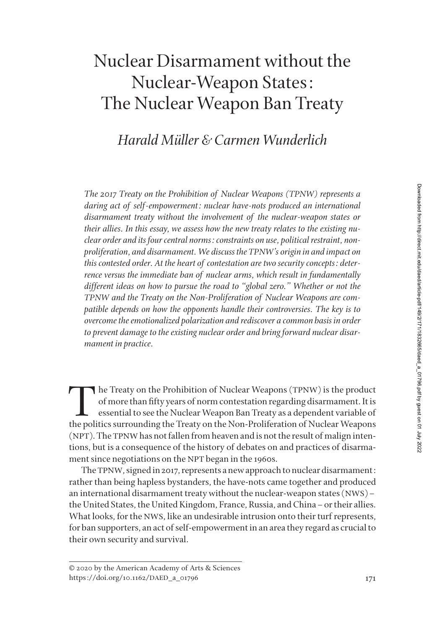# Nuclear Disarmament without the Nuclear-Weapon States: The Nuclear Weapon Ban Treaty

# *Harald Müller & Carmen Wunderlich*

*The 2017 Treaty on the Prohibition of Nuclear Weapons (TPNW) represents a*  daring act of self-empowerment: nuclear have-nots produced an international *disarmament treaty without the involvement of the nuclear-weapon states or their allies. In this essay, we assess how the new treaty relates to the existing nuclear order and its four central norms: constraints on use, political restraint, nonproliferation, and disarmament. We discuss the TPNW's origin in and impact on this contested order. At the heart of contestation are two security concepts: deterrence versus the immediate ban of nuclear arms, which result in fundamentally different ideas on how to pursue the road to "global zero." Whether or not the TPNW and the Treaty on the Non-Proliferation of Nuclear Weapons are compatible depends on how the opponents handle their controversies. The key is to overcome the emotionalized polarization and rediscover a common basis in order to prevent damage to the existing nuclear order and bring forward nuclear disarmament in practice.*

The Treaty on the Prohibition of Nuclear Weapons (TPNW) is the product of more than fifty years of norm contestation regarding disarmament. It is essential to see the Nuclear Weapon Ban Treaty as a dependent variable of th of more than fifty years of norm contestation regarding disarmament. It is essential to see the Nuclear Weapon Ban Treaty as a dependent variable of the politics surrounding the Treaty on the Non-Proliferation of Nuclear Weapons (NPT). The TPNW has not fallen from heaven and is not the result of malign intentions, but is a consequence of the history of debates on and practices of disarmament since negotiations on the NPT began in the 1960s.

The TPNW, signed in 2017, represents a new approach to nuclear disarmament: rather than being hapless bystanders, the have-nots came together and produced an international disarmament treaty without the nuclear-weapon states (NWS)– the United States, the United Kingdom, France, Russia, and China–or their allies. What looks, for the NWS, like an undesirable intrusion onto their turf represents, for ban supporters, an act of self-empowerment in an area they regard as crucial to their own security and survival.

<sup>© 2020</sup> by the American Academy of Arts & Sciences https://doi.org/10.1162/DAED\_a\_01796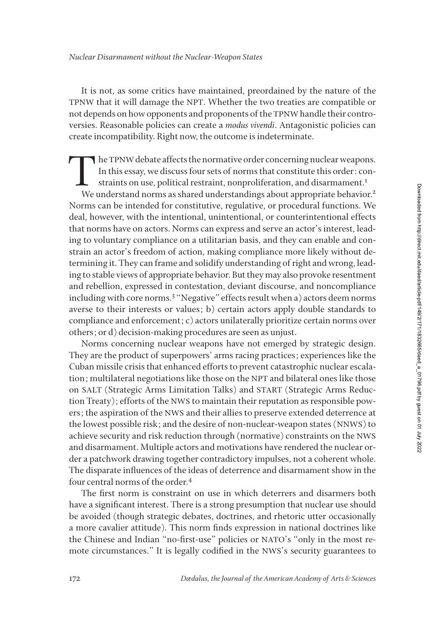It is not, as some critics have maintained, preordained by the nature of the TPNW that it will damage the NPT. Whether the two treaties are compatible or not depends on how opponents and proponents of the TPNW handle their controversies. Reasonable policies can create a *modus vivendi*. Antagonistic policies can create incompatibility. Right now, the outcome is indeterminate.

The TPNW debate affects the normative order concerning nuclear weapons.<br>In this essay, we discuss four sets of norms that constitute this order: constraints on use, political restraint, nonproliferation, and disarmament.<sup>1</sup> In this essay, we discuss four sets of norms that constitute this order: constraints on use, political restraint, nonproliferation, and disarmament.<sup>1</sup> We understand norms as shared understandings about appropriate behavior.<sup>2</sup> Norms can be intended for constitutive, regulative, or procedural functions. We deal, however, with the intentional, unintentional, or counterintentional effects that norms have on actors. Norms can express and serve an actor's interest, leading to voluntary compliance on a utilitarian basis, and they can enable and constrain an actor's freedom of action, making compliance more likely without determining it. They can frame and solidify understanding of right and wrong, leading to stable views of appropriate behavior. But they may also provoke resentment and rebellion, expressed in contestation, deviant discourse, and noncompliance including with core norms.<sup>3</sup> "Negative" effects result when a) actors deem norms averse to their interests or values; b) certain actors apply double standards to compliance and enforcement; c) actors unilaterally prioritize certain norms over others; or d) decision-making procedures are seen as unjust.

Norms concerning nuclear weapons have not emerged by strategic design. They are the product of superpowers' arms racing practices; experiences like the Cuban missile crisis that enhanced efforts to prevent catastrophic nuclear escalation; multilateral negotiations like those on the NPT and bilateral ones like those on SALT (Strategic Arms Limitation Talks) and START (Strategic Arms Reduction Treaty); efforts of the NWS to maintain their reputation as responsible powers; the aspiration of the NWS and their allies to preserve extended deterrence at the lowest possible risk; and the desire of non-nuclear-weapon states (NNWS) to achieve security and risk reduction through (normative) constraints on the NWS and disarmament. Multiple actors and motivations have rendered the nuclear order a patchwork drawing together contradictory impulses, not a coherent whole. The disparate influences of the ideas of deterrence and disarmament show in the four central norms of the order.<sup>4</sup>

The first norm is constraint on use in which deterrers and disarmers both have a significant interest. There is a strong presumption that nuclear use should be avoided (though strategic debates, doctrines, and rhetoric utter occasionally a more cavalier attitude). This norm finds expression in national doctrines like the Chinese and Indian "no-first-use" policies or NATO's "only in the most remote circumstances." It is legally codified in the NWS's security guarantees to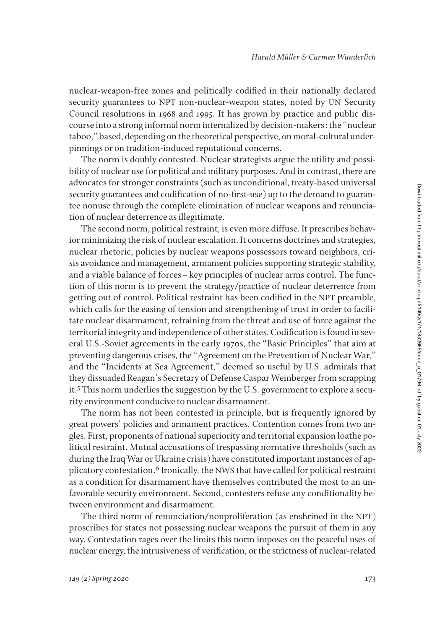nuclear-weapon-free zones and politically codified in their nationally declared security guarantees to NPT non-nuclear-weapon states, noted by UN Security Council resolutions in 1968 and 1995. It has grown by practice and public discourse into a strong informal norm internalized by decision-makers: the "nuclear taboo," based, depending on the theoretical perspective, on moral-cultural underpinnings or on tradition-induced reputational concerns.

The norm is doubly contested. Nuclear strategists argue the utility and possibility of nuclear use for political and military purposes. And in contrast, there are advocates for stronger constraints (such as unconditional, treaty-based universal security guarantees and codification of no-first-use) up to the demand to guarantee nonuse through the complete elimination of nuclear weapons and renunciation of nuclear deterrence as illegitimate.

The second norm, political restraint, is even more diffuse. It prescribes behavior minimizing the risk of nuclear escalation. It concerns doctrines and strategies, nuclear rhetoric, policies by nuclear weapons possessors toward neighbors, crisis avoidance and management, armament policies supporting strategic stability, and a viable balance of forces–key principles of nuclear arms control. The function of this norm is to prevent the strategy/practice of nuclear deterrence from getting out of control. Political restraint has been codified in the NPT preamble, which calls for the easing of tension and strengthening of trust in order to facilitate nuclear disarmament, refraining from the threat and use of force against the territorial integrity and independence of other states. Codification is found in several U.S.-Soviet agreements in the early 1970s, the "Basic Principles" that aim at preventing dangerous crises, the "Agreement on the Prevention of Nuclear War," and the "Incidents at Sea Agreement," deemed so useful by U.S. admirals that they dissuaded Reagan's Secretary of Defense Caspar Weinberger from scrapping it.5 This norm underlies the suggestion by the U.S. government to explore a security environment conducive to nuclear disarmament.

The norm has not been contested in principle, but is frequently ignored by great powers' policies and armament practices. Contention comes from two angles. First, proponents of national superiority and territorial expansion loathe political restraint. Mutual accusations of trespassing normative thresholds (such as during the Iraq War or Ukraine crisis) have constituted important instances of applicatory contestation.<sup>6</sup> Ironically, the NWS that have called for political restraint as a condition for disarmament have themselves contributed the most to an unfavorable security environment. Second, contesters refuse any conditionality between environment and disarmament.

The third norm of renunciation/nonproliferation (as enshrined in the NPT) proscribes for states not possessing nuclear weapons the pursuit of them in any way. Contestation rages over the limits this norm imposes on the peaceful uses of nuclear energy, the intrusiveness of verification, or the strictness of nuclear-related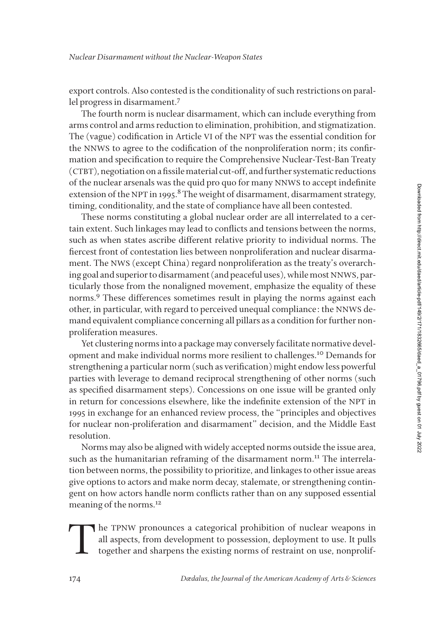export controls. Also contested is the conditionality of such restrictions on parallel progress in disarmament.7

The fourth norm is nuclear disarmament, which can include everything from arms control and arms reduction to elimination, prohibition, and stigmatization. The (vague) codification in Article VI of the NPT was the essential condition for the NNWS to agree to the codification of the nonproliferation norm; its confirmation and specification to require the Comprehensive Nuclear-Test-Ban Treaty (CTBT), negotiation on a fissile material cut-off, and further systematic reductions of the nuclear arsenals was the quid pro quo for many NNWS to accept indefinite extension of the NPT in 1995.<sup>8</sup> The weight of disarmament, disarmament strategy, timing, conditionality, and the state of compliance have all been contested.

These norms constituting a global nuclear order are all interrelated to a certain extent. Such linkages may lead to conflicts and tensions between the norms, such as when states ascribe different relative priority to individual norms. The fiercest front of contestation lies between nonproliferation and nuclear disarmament. The NWS (except China) regard nonproliferation as the treaty's overarching goal and superior to disarmament (and peaceful uses), while most NNWS, particularly those from the nonaligned movement, emphasize the equality of these norms.<sup>9</sup> These differences sometimes result in playing the norms against each other, in particular, with regard to perceived unequal compliance: the NNWS demand equivalent compliance concerning all pillars as a condition for further nonproliferation measures.

Yet clustering norms into a package may conversely facilitate normative development and make individual norms more resilient to challenges.10 Demands for strengthening a particular norm (such as verification) might endow less powerful parties with leverage to demand reciprocal strengthening of other norms (such as specified disarmament steps). Concessions on one issue will be granted only in return for concessions elsewhere, like the indefinite extension of the NPT in 1995 in exchange for an enhanced review process, the "principles and objectives for nuclear non-proliferation and disarmament" decision, and the Middle East resolution.

Norms may also be aligned with widely accepted norms outside the issue area, such as the humanitarian reframing of the disarmament norm.<sup>11</sup> The interrelation between norms, the possibility to prioritize, and linkages to other issue areas give options to actors and make norm decay, stalemate, or strengthening contingent on how actors handle norm conflicts rather than on any supposed essential meaning of the norms.12

The TPNW pronounces a categorical prohibition of nuclear weapons in all aspects, from development to possession, deployment to use. It pulls together and sharpens the existing norms of restraint on use, nonprolif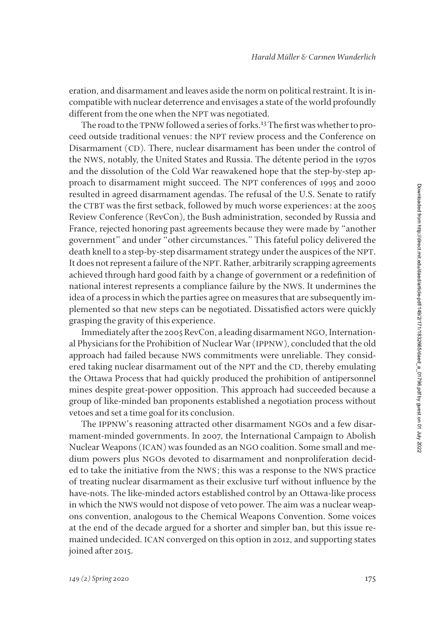eration, and disarmament and leaves aside the norm on political restraint. It is incompatible with nuclear deterrence and envisages a state of the world profoundly different from the one when the NPT was negotiated.

The road to the TPNW followed a series of forks.<sup>13</sup> The first was whether to proceed outside traditional venues: the NPT review process and the Conference on Disarmament (CD). There, nuclear disarmament has been under the control of the NWS, notably, the United States and Russia. The détente period in the 1970s and the dissolution of the Cold War reawakened hope that the step-by-step approach to disarmament might succeed. The NPT conferences of 1995 and 2000 resulted in agreed disarmament agendas. The refusal of the U.S. Senate to ratify the CTBT was the first setback, followed by much worse experiences: at the 2005 Review Conference (RevCon), the Bush administration, seconded by Russia and France, rejected honoring past agreements because they were made by "another government" and under "other circumstances." This fateful policy delivered the death knell to a step-by-step disarmament strategy under the auspices of the NPT. It does not represent a failure of the NPT. Rather, arbitrarily scrapping agreements achieved through hard good faith by a change of government or a redefinition of national interest represents a compliance failure by the NWS. It undermines the idea of a process in which the parties agree on measures that are subsequently implemented so that new steps can be negotiated. Dissatisfied actors were quickly grasping the gravity of this experience.

Immediately after the 2005 RevCon, a leading disarmament NGO, International Physicians for the Prohibition of Nuclear War (IPPNW), concluded that the old approach had failed because NWS commitments were unreliable. They considered taking nuclear disarmament out of the NPT and the CD, thereby emulating the Ottawa Process that had quickly produced the prohibition of antipersonnel mines despite great-power opposition. This approach had succeeded because a group of like-minded ban proponents established a negotiation process without vetoes and set a time goal for its conclusion.

The IPPNW's reasoning attracted other disarmament NGOs and a few disarmament-minded governments. In 2007, the International Campaign to Abolish Nuclear Weapons (ICAN) was founded as an NGO coalition. Some small and medium powers plus NGOs devoted to disarmament and nonproliferation decided to take the initiative from the NWS; this was a response to the NWS practice of treating nuclear disarmament as their exclusive turf without influence by the have-nots. The like-minded actors established control by an Ottawa-like process in which the NWS would not dispose of veto power. The aim was a nuclear weapons convention, analogous to the Chemical Weapons Convention. Some voices at the end of the decade argued for a shorter and simpler ban, but this issue remained undecided. ICAN converged on this option in 2012, and supporting states joined after 2015.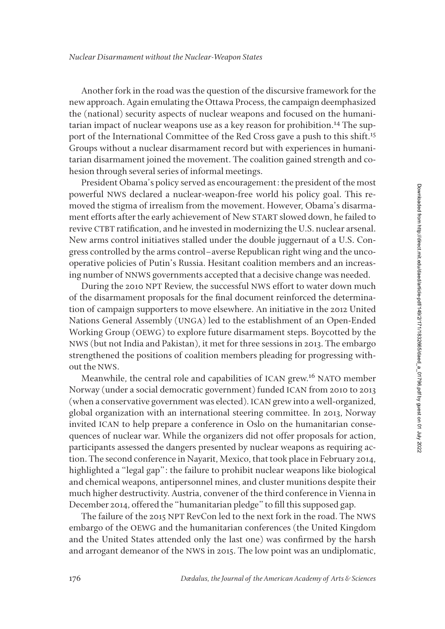Another fork in the road was the question of the discursive framework for the new approach. Again emulating the Ottawa Process, the campaign deemphasized the (national) security aspects of nuclear weapons and focused on the humanitarian impact of nuclear weapons use as a key reason for prohibition.<sup>14</sup> The support of the International Committee of the Red Cross gave a push to this shift.<sup>15</sup> Groups without a nuclear disarmament record but with experiences in humanitarian disarmament joined the movement. The coalition gained strength and cohesion through several series of informal meetings.

President Obama's policy served as encouragement: the president of the most powerful NWS declared a nuclear-weapon-free world his policy goal. This removed the stigma of irrealism from the movement. However, Obama's disarmament efforts after the early achievement of New START slowed down, he failed to revive CTBT ratification, and he invested in modernizing the U.S. nuclear arsenal. New arms control initiatives stalled under the double juggernaut of a U.S. Congress controlled by the arms control–averse Republican right wing and the uncooperative policies of Putin's Russia. Hesitant coalition members and an increasing number of NNWS governments accepted that a decisive change was needed.

During the 2010 NPT Review, the successful NWS effort to water down much of the disarmament proposals for the final document reinforced the determination of campaign supporters to move elsewhere. An initiative in the 2012 United Nations General Assembly (UNGA) led to the establishment of an Open-Ended Working Group (OEWG) to explore future disarmament steps. Boycotted by the NWS (but not India and Pakistan), it met for three sessions in 2013. The embargo strengthened the positions of coalition members pleading for progressing without the NWS.

Meanwhile, the central role and capabilities of ICAN grew.<sup>16</sup> NATO member Norway (under a social democratic government) funded ICAN from 2010 to 2013 (when a conservative government was elected). ICAN grew into a well-organized, global organization with an international steering committee. In 2013, Norway invited ICAN to help prepare a conference in Oslo on the humanitarian consequences of nuclear war. While the organizers did not offer proposals for action, participants assessed the dangers presented by nuclear weapons as requiring action. The second conference in Nayarit, Mexico, that took place in February 2014, highlighted a "legal gap": the failure to prohibit nuclear weapons like biological and chemical weapons, antipersonnel mines, and cluster munitions despite their much higher destructivity. Austria, convener of the third conference in Vienna in December 2014, offered the "humanitarian pledge" to fill this supposed gap.

The failure of the 2015 NPT RevCon led to the next fork in the road. The NWS embargo of the OEWG and the humanitarian conferences (the United Kingdom and the United States attended only the last one) was confirmed by the harsh and arrogant demeanor of the NWS in 2015. The low point was an undiplomatic,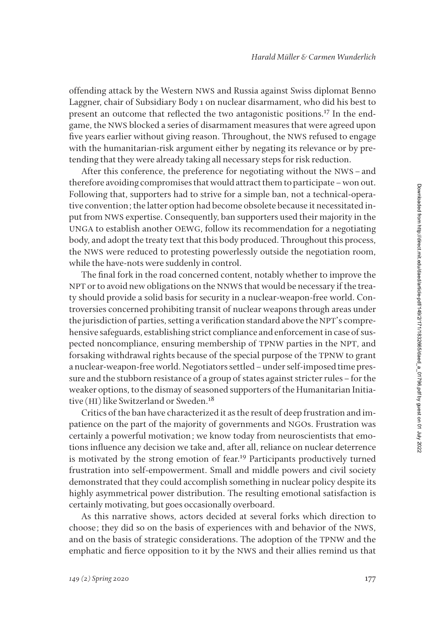offending attack by the Western NWS and Russia against Swiss diplomat Benno Laggner, chair of Subsidiary Body 1 on nuclear disarmament, who did his best to present an outcome that reflected the two antagonistic positions.17 In the endgame, the NWS blocked a series of disarmament measures that were agreed upon five years earlier without giving reason. Throughout, the NWS refused to engage with the humanitarian-risk argument either by negating its relevance or by pretending that they were already taking all necessary steps for risk reduction.

After this conference, the preference for negotiating without the NWS–and therefore avoiding compromises that would attract them to participate–won out. Following that, supporters had to strive for a simple ban, not a technical-operative convention; the latter option had become obsolete because it necessitated input from NWS expertise. Consequently, ban supporters used their majority in the UNGA to establish another OEWG, follow its recommendation for a negotiating body, and adopt the treaty text that this body produced. Throughout this process, the NWS were reduced to protesting powerlessly outside the negotiation room, while the have-nots were suddenly in control.

The final fork in the road concerned content, notably whether to improve the NPT or to avoid new obligations on the NNWS that would be necessary if the treaty should provide a solid basis for security in a nuclear-weapon-free world. Controversies concerned prohibiting transit of nuclear weapons through areas under the jurisdiction of parties, setting a verification standard above the NPT's comprehensive safeguards, establishing strict compliance and enforcement in case of suspected noncompliance, ensuring membership of TPNW parties in the NPT, and forsaking withdrawal rights because of the special purpose of the TPNW to grant a nuclear-weapon-free world. Negotiators settled–under self-imposed time pressure and the stubborn resistance of a group of states against stricter rules–for the weaker options, to the dismay of seasoned supporters of the Humanitarian Initiative (HI) like Switzerland or Sweden.<sup>18</sup>

Critics of the ban have characterized it as the result of deep frustration and impatience on the part of the majority of governments and NGOs. Frustration was certainly a powerful motivation; we know today from neuroscientists that emotions influence any decision we take and, after all, reliance on nuclear deterrence is motivated by the strong emotion of fear.<sup>19</sup> Participants productively turned frustration into self-empowerment. Small and middle powers and civil society demonstrated that they could accomplish something in nuclear policy despite its highly asymmetrical power distribution. The resulting emotional satisfaction is certainly motivating, but goes occasionally overboard.

As this narrative shows, actors decided at several forks which direction to choose; they did so on the basis of experiences with and behavior of the NWS, and on the basis of strategic considerations. The adoption of the TPNW and the emphatic and fierce opposition to it by the NWS and their allies remind us that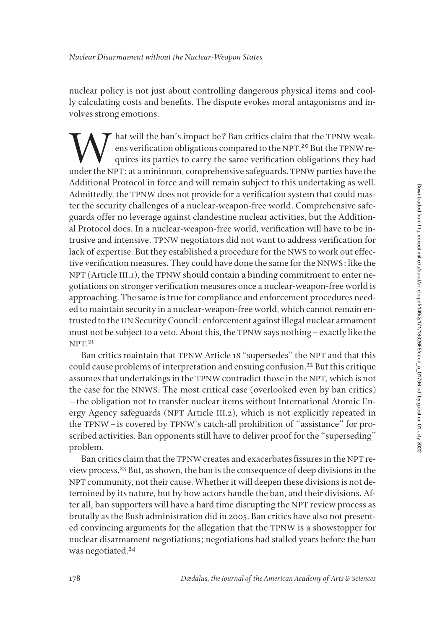nuclear policy is not just about controlling dangerous physical items and coolly calculating costs and benefits. The dispute evokes moral antagonisms and involves strong emotions.

What will the ban's impact be? Ban critics claim that the TPNW weak-<br>ens verification obligations compared to the NPT.<sup>20</sup> But the TPNW re-<br>quires its parties to carry the same verification obligations they had<br>under the N ens verification obligations compared to the NPT.<sup>20</sup> But the TPNW requires its parties to carry the same verification obligations they had under the NPT: at a minimum, comprehensive safeguards. TPNW parties have the Additional Protocol in force and will remain subject to this undertaking as well. Admittedly, the TPNW does not provide for a verification system that could master the security challenges of a nuclear-weapon-free world. Comprehensive safeguards offer no leverage against clandestine nuclear activities, but the Additional Protocol does. In a nuclear-weapon-free world, verification will have to be intrusive and intensive. TPNW negotiators did not want to address verification for lack of expertise. But they established a procedure for the NWS to work out effective verification measures. They could have done the same for the NNWS: like the NPT (Article III.1), the TPNW should contain a binding commitment to enter negotiations on stronger verification measures once a nuclear-weapon-free world is approaching. The same is true for compliance and enforcement procedures needed to maintain security in a nuclear-weapon-free world, which cannot remain entrusted to the UN Security Council: enforcement against illegal nuclear armament must not be subject to a veto. About this, the TPNW says nothing–exactly like the NPT. 21

Ban critics maintain that TPNW Article 18 "supersedes" the NPT and that this could cause problems of interpretation and ensuing confusion.22 But this critique assumes that undertakings in the TPNW contradict those in the NPT, which is not the case for the NNWS. The most critical case (overlooked even by ban critics) –the obligation not to transfer nuclear items without International Atomic Energy Agency safeguards (NPT Article III.2), which is not explicitly repeated in the TPNW–is covered by TPNW's catch-all prohibition of "assistance" for proscribed activities. Ban opponents still have to deliver proof for the "superseding" problem.

Ban critics claim that the TPNW creates and exacerbates fissures in the NPT review process.23 But, as shown, the ban is the consequence of deep divisions in the NPT community, not their cause. Whether it will deepen these divisions is not determined by its nature, but by how actors handle the ban, and their divisions. After all, ban supporters will have a hard time disrupting the NPT review process as brutally as the Bush administration did in 2005. Ban critics have also not presented convincing arguments for the allegation that the TPNW is a showstopper for nuclear disarmament negotiations; negotiations had stalled years before the ban was negotiated.<sup>24</sup>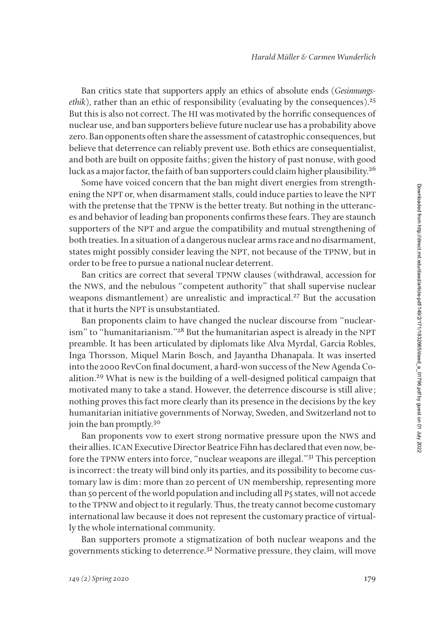Ban critics state that supporters apply an ethics of absolute ends (*Gesinnungsethik*), rather than an ethic of responsibility (evaluating by the consequences).<sup>25</sup> But this is also not correct. The HI was motivated by the horrific consequences of nuclear use, and ban supporters believe future nuclear use has a probability above zero. Ban opponents often share the assessment of catastrophic consequences, but believe that deterrence can reliably prevent use. Both ethics are consequentialist, and both are built on opposite faiths; given the history of past nonuse, with good luck as a major factor, the faith of ban supporters could claim higher plausibility.<sup>26</sup>

Some have voiced concern that the ban might divert energies from strengthening the NPT or, when disarmament stalls, could induce parties to leave the NPT with the pretense that the TPNW is the better treaty. But nothing in the utterances and behavior of leading ban proponents confirms these fears. They are staunch supporters of the NPT and argue the compatibility and mutual strengthening of both treaties. In a situation of a dangerous nuclear arms race and no disarmament, states might possibly consider leaving the NPT, not because of the TPNW, but in order to be free to pursue a national nuclear deterrent.

Ban critics are correct that several TPNW clauses (withdrawal, accession for the NWS, and the nebulous "competent authority" that shall supervise nuclear weapons dismantlement) are unrealistic and impractical.27 But the accusation that it hurts the NPT is unsubstantiated.

Ban proponents claim to have changed the nuclear discourse from "nuclearism" to "humanitarianism."28 But the humanitarian aspect is already in the NPT preamble. It has been articulated by diplomats like Alva Myrdal, Garcia Robles, Inga Thorsson, Miquel Marin Bosch, and Jayantha Dhanapala. It was inserted into the 2000 RevCon final document, a hard-won success of the New Agenda Coalition.29 What is new is the building of a well-designed political campaign that motivated many to take a stand. However, the deterrence discourse is still alive; nothing proves this fact more clearly than its presence in the decisions by the key humanitarian initiative governments of Norway, Sweden, and Switzerland not to join the ban promptly.<sup>30</sup>

Ban proponents vow to exert strong normative pressure upon the NWS and their allies. ICAN Executive Director Beatrice Fihn has declared that even now, before the TPNW enters into force, "nuclear weapons are illegal."31 This perception is incorrect: the treaty will bind only its parties, and its possibility to become customary law is dim: more than 20 percent of UN membership, representing more than 50 percent of the world population and including all P5 states, will not accede to the TPNW and object to it regularly. Thus, the treaty cannot become customary international law because it does not represent the customary practice of virtually the whole international community.

Ban supporters promote a stigmatization of both nuclear weapons and the governments sticking to deterrence.32 Normative pressure, they claim, will move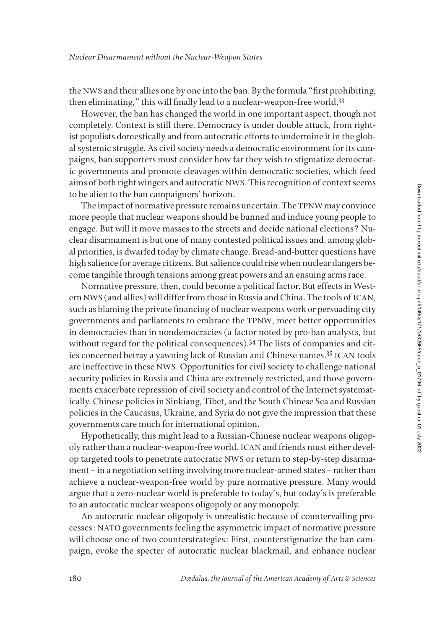the NWS and their allies one by one into the ban. By the formula "first prohibiting, then eliminating," this will finally lead to a nuclear-weapon-free world.<sup>33</sup>

However, the ban has changed the world in one important aspect, though not completely. Context is still there. Democracy is under double attack, from rightist populists domestically and from autocratic efforts to undermine it in the global systemic struggle. As civil society needs a democratic environment for its campaigns, ban supporters must consider how far they wish to stigmatize democratic governments and promote cleavages within democratic societies, which feed aims of both right wingers and autocratic NWS. This recognition of context seems to be alien to the ban campaigners' horizon.

The impact of normative pressure remains uncertain. The TPNW may convince more people that nuclear weapons should be banned and induce young people to engage. But will it move masses to the streets and decide national elections? Nuclear disarmament is but one of many contested political issues and, among global priorities, is dwarfed today by climate change. Bread-and-butter questions have high salience for average citizens. But salience could rise when nuclear dangers become tangible through tensions among great powers and an ensuing arms race.

Normative pressure, then, could become a political factor. But effects in Western NWS (and allies) will differ from those in Russia and China. The tools of ICAN, such as blaming the private financing of nuclear weapons work or persuading city governments and parliaments to embrace the TPNW, meet better opportunities in democracies than in nondemocracies (a factor noted by pro-ban analysts, but without regard for the political consequences).<sup>34</sup> The lists of companies and cities concerned betray a yawning lack of Russian and Chinese names.<sup>35</sup> ICAN tools are ineffective in these NWS. Opportunities for civil society to challenge national security policies in Russia and China are extremely restricted, and those governments exacerbate repression of civil society and control of the Internet systematically. Chinese policies in Sinkiang, Tibet, and the South Chinese Sea and Russian policies in the Caucasus, Ukraine, and Syria do not give the impression that these governments care much for international opinion.

Hypothetically, this might lead to a Russian-Chinese nuclear weapons oligopoly rather than a nuclear-weapon-free world. ICAN and friends must either develop targeted tools to penetrate autocratic NWS or return to step-by-step disarmament–in a negotiation setting involving more nuclear-armed states–rather than achieve a nuclear-weapon-free world by pure normative pressure. Many would argue that a zero-nuclear world is preferable to today's, but today's is preferable to an autocratic nuclear weapons oligopoly or any monopoly.

An autocratic nuclear oligopoly is unrealistic because of countervailing processes: NATO governments feeling the asymmetric impact of normative pressure will choose one of two counterstrategies: First, counterstigmatize the ban campaign, evoke the specter of autocratic nuclear blackmail, and enhance nuclear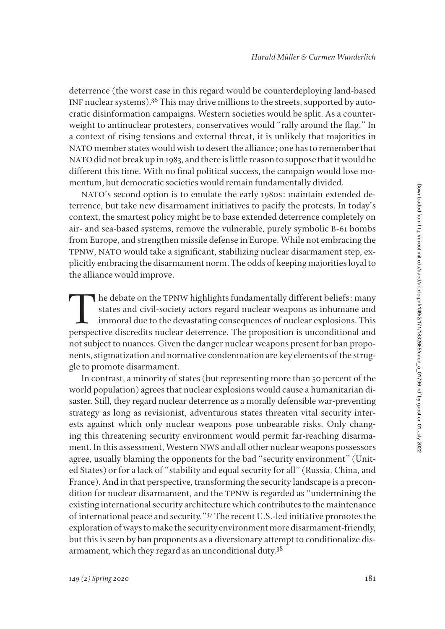deterrence (the worst case in this regard would be counterdeploying land-based INF nuclear systems).36 This may drive millions to the streets, supported by autocratic disinformation campaigns. Western societies would be split. As a counterweight to antinuclear protesters, conservatives would "rally around the flag." In a context of rising tensions and external threat, it is unlikely that majorities in NATO member states would wish to desert the alliance; one has to remember that NATO did not break up in 1983, and there is little reason to suppose that it would be different this time. With no final political success, the campaign would lose momentum, but democratic societies would remain fundamentally divided.

NATO's second option is to emulate the early 1980s: maintain extended deterrence, but take new disarmament initiatives to pacify the protests. In today's context, the smartest policy might be to base extended deterrence completely on air- and sea-based systems, remove the vulnerable, purely symbolic B-61 bombs from Europe, and strengthen missile defense in Europe. While not embracing the TPNW, NATO would take a significant, stabilizing nuclear disarmament step, explicitly embracing the disarmament norm. The odds of keeping majorities loyal to the alliance would improve.

The debate on the TPNW highlights fundamentally different beliefs: many states and civil-society actors regard nuclear weapons as inhumane and immoral due to the devastating consequences of nuclear explosions. This perspective discredits nuclear deterrence. The proposition is unconditional and not subject to nuances. Given the danger nuclear weapons present for ban proponents, stigmatization and normative condemnation are key elements of the struggle to promote disarmament.

In contrast, a minority of states (but representing more than 50 percent of the world population) agrees that nuclear explosions would cause a humanitarian disaster. Still, they regard nuclear deterrence as a morally defensible war-preventing strategy as long as revisionist, adventurous states threaten vital security interests against which only nuclear weapons pose unbearable risks. Only changing this threatening security environment would permit far-reaching disarmament. In this assessment, Western NWS and all other nuclear weapons possessors agree, usually blaming the opponents for the bad "security environment" (United States) or for a lack of "stability and equal security for all" (Russia, China, and France). And in that perspective, transforming the security landscape is a precondition for nuclear disarmament, and the TPNW is regarded as "undermining the existing international security architecture which contributes to the maintenance of international peace and security."37 The recent U.S.-led initiative promotes the exploration of ways to make the security environment more disarmament-friendly, but this is seen by ban proponents as a diversionary attempt to conditionalize disarmament, which they regard as an unconditional duty.38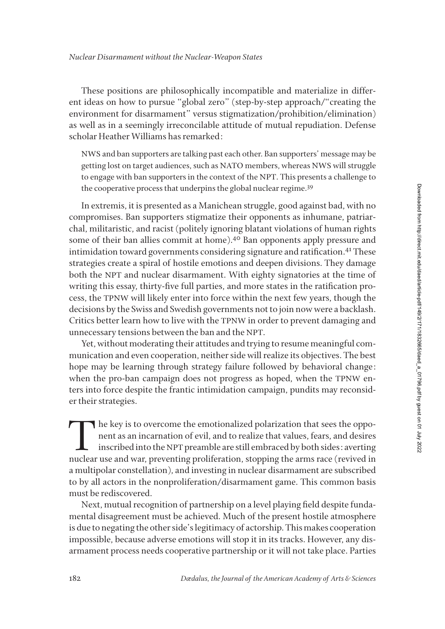These positions are philosophically incompatible and materialize in different ideas on how to pursue "global zero" (step-by-step approach/"creating the environment for disarmament" versus stigmatization/prohibition/elimination) as well as in a seemingly irreconcilable attitude of mutual repudiation. Defense scholar Heather Williams has remarked:

NWS and ban supporters are talking past each other. Ban supporters' message may be getting lost on target audiences, such as NATO members, whereas NWS will struggle to engage with ban supporters in the context of the NPT. This presents a challenge to the cooperative process that underpins the global nuclear regime.<sup>39</sup>

In extremis, it is presented as a Manichean struggle, good against bad, with no compromises. Ban supporters stigmatize their opponents as inhumane, patriarchal, militaristic, and racist (politely ignoring blatant violations of human rights some of their ban allies commit at home).<sup>40</sup> Ban opponents apply pressure and intimidation toward governments considering signature and ratification.<sup>41</sup> These strategies create a spiral of hostile emotions and deepen divisions. They damage both the NPT and nuclear disarmament. With eighty signatories at the time of writing this essay, thirty-five full parties, and more states in the ratification process, the TPNW will likely enter into force within the next few years, though the decisions by the Swiss and Swedish governments not to join now were a backlash. Critics better learn how to live with the TPNW in order to prevent damaging and unnecessary tensions between the ban and the NPT.

Yet, without moderating their attitudes and trying to resume meaningful communication and even cooperation, neither side will realize its objectives. The best hope may be learning through strategy failure followed by behavioral change: when the pro-ban campaign does not progress as hoped, when the TPNW enters into force despite the frantic intimidation campaign, pundits may reconsider their strategies.

The key is to overcome the emotionalized polarization that sees the opponent as an incarnation of evil, and to realize that values, fears, and desires inscribed into the NPT preamble are still embraced by both sides: avert nent as an incarnation of evil, and to realize that values, fears, and desires inscribed into the NPT preamble are still embraced by both sides: averting nuclear use and war, preventing proliferation, stopping the arms race (revived in a multipolar constellation), and investing in nuclear disarmament are subscribed to by all actors in the nonproliferation/disarmament game. This common basis must be rediscovered.

Next, mutual recognition of partnership on a level playing field despite fundamental disagreement must be achieved. Much of the present hostile atmosphere is due to negating the other side's legitimacy of actorship. This makes cooperation impossible, because adverse emotions will stop it in its tracks. However, any disarmament process needs cooperative partnership or it will not take place. Parties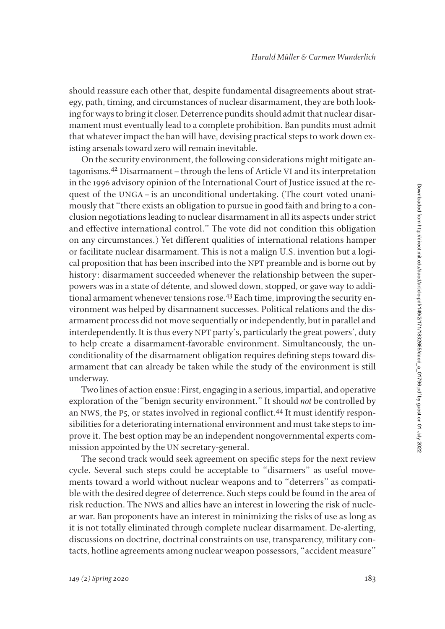should reassure each other that, despite fundamental disagreements about strategy, path, timing, and circumstances of nuclear disarmament, they are both looking for ways to bring it closer. Deterrence pundits should admit that nuclear disarmament must eventually lead to a complete prohibition. Ban pundits must admit that whatever impact the ban will have, devising practical steps to work down existing arsenals toward zero will remain inevitable.

On the security environment, the following considerations might mitigate antagonisms.42 Disarmament–through the lens of Article VI and its interpretation in the 1996 advisory opinion of the International Court of Justice issued at the request of the UNGA–is an unconditional undertaking. (The court voted unanimously that "there exists an obligation to pursue in good faith and bring to a conclusion negotiations leading to nuclear disarmament in all its aspects under strict and effective international control." The vote did not condition this obligation on any circumstances.) Yet different qualities of international relations hamper or facilitate nuclear disarmament. This is not a malign U.S. invention but a logical proposition that has been inscribed into the NPT preamble and is borne out by history: disarmament succeeded whenever the relationship between the superpowers was in a state of détente, and slowed down, stopped, or gave way to additional armament whenever tensions rose.43 Each time, improving the security environment was helped by disarmament successes. Political relations and the disarmament process did not move sequentially or independently, but in parallel and interdependently. It is thus every NPT party's, particularly the great powers', duty to help create a disarmament-favorable environment. Simultaneously, the unconditionality of the disarmament obligation requires defining steps toward disarmament that can already be taken while the study of the environment is still underway.

Two lines of action ensue: First, engaging in a serious, impartial, and operative exploration of the "benign security environment." It should *not* be controlled by an NWS, the P<sub>5</sub>, or states involved in regional conflict.<sup>44</sup> It must identify responsibilities for a deteriorating international environment and must take steps to improve it. The best option may be an independent nongovernmental experts commission appointed by the UN secretary-general.

The second track would seek agreement on specific steps for the next review cycle. Several such steps could be acceptable to "disarmers" as useful movements toward a world without nuclear weapons and to "deterrers" as compatible with the desired degree of deterrence. Such steps could be found in the area of risk reduction. The NWS and allies have an interest in lowering the risk of nuclear war. Ban proponents have an interest in minimizing the risks of use as long as it is not totally eliminated through complete nuclear disarmament. De-alerting, discussions on doctrine, doctrinal constraints on use, transparency, military contacts, hotline agreements among nuclear weapon possessors, "accident measure"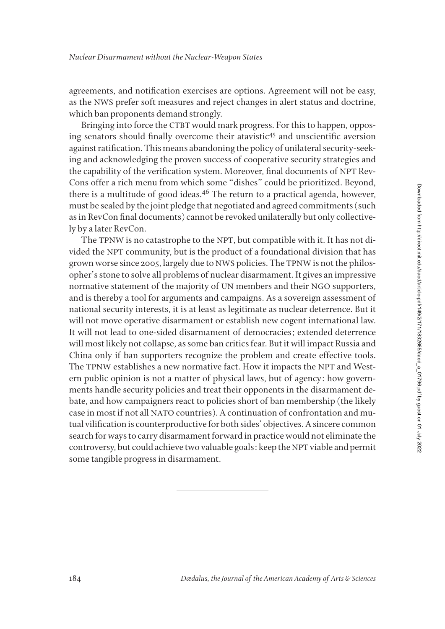agreements, and notification exercises are options. Agreement will not be easy, as the NWS prefer soft measures and reject changes in alert status and doctrine, which ban proponents demand strongly.

Bringing into force the CTBT would mark progress. For this to happen, opposing senators should finally overcome their atavistic<sup>45</sup> and unscientific aversion against ratification. This means abandoning the policy of unilateral security-seeking and acknowledging the proven success of cooperative security strategies and the capability of the verification system. Moreover, final documents of NPT Rev-Cons offer a rich menu from which some "dishes" could be prioritized. Beyond, there is a multitude of good ideas.<sup>46</sup> The return to a practical agenda, however, must be sealed by the joint pledge that negotiated and agreed commitments (such as in RevCon final documents) cannot be revoked unilaterally but only collectively by a later RevCon.

The TPNW is no catastrophe to the NPT, but compatible with it. It has not divided the NPT community, but is the product of a foundational division that has grown worse since 2005, largely due to NWS policies. The TPNW is not the philosopher's stone to solve all problems of nuclear disarmament. It gives an impressive normative statement of the majority of UN members and their NGO supporters, and is thereby a tool for arguments and campaigns. As a sovereign assessment of national security interests, it is at least as legitimate as nuclear deterrence. But it will not move operative disarmament or establish new cogent international law. It will not lead to one-sided disarmament of democracies; extended deterrence will most likely not collapse, as some ban critics fear. But it will impact Russia and China only if ban supporters recognize the problem and create effective tools. The TPNW establishes a new normative fact. How it impacts the NPT and Western public opinion is not a matter of physical laws, but of agency: how governments handle security policies and treat their opponents in the disarmament debate, and how campaigners react to policies short of ban membership (the likely case in most if not all NATO countries). A continuation of confrontation and mutual vilification is counterproductive for both sides' objectives. A sincere common search for ways to carry disarmament forward in practice would not eliminate the controversy, but could achieve two valuable goals: keep the NPT viable and permit some tangible progress in disarmament.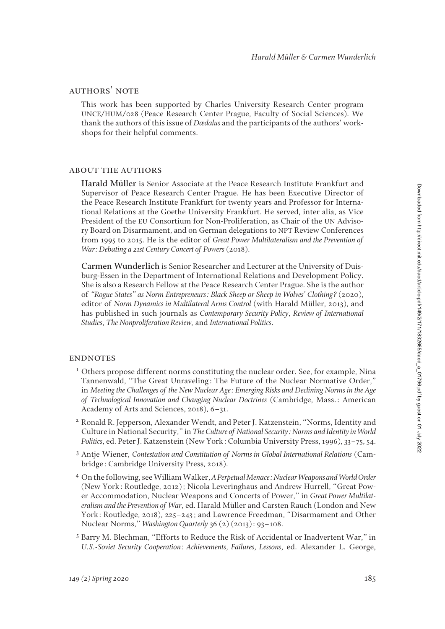## authors' note

This work has been supported by Charles University Research Center program UNCE/HUM/028 (Peace Research Center Prague, Faculty of Social Sciences). We thank the authors of this issue of *Dædalus* and the participants of the authors' workshops for their helpful comments.

### about the authors

**Harald Müller** is Senior Associate at the Peace Research Institute Frankfurt and Supervisor of Peace Research Center Prague. He has been Executive Director of the Peace Research Institute Frankfurt for twenty years and Professor for International Relations at the Goethe University Frankfurt. He served, inter alia, as Vice President of the EU Consortium for Non-Proliferation, as Chair of the UN Advisory Board on Disarmament, and on German delegations to NPT Review Conferences from 1995 to 2015. He is the editor of *Great Power Multilateralism and the Prevention of War: Debating a 21st Century Concert of Powers* (2018).

**Carmen Wunderlich** is Senior Researcher and Lecturer at the University of Duisburg-Essen in the Department of International Relations and Development Policy. She is also a Research Fellow at the Peace Research Center Prague. She is the author of "Rogue States" as Norm Entrepreneurs: Black Sheep or Sheep in Wolves' Clothing? (2020), editor of *Norm Dynamics in Multilateral Arms Control* (with Harald Müller, 2013), and has published in such journals as *Contemporary Security Policy*, *Review of International Studies*, *The Nonproliferation Review,* and *International Politics*.

#### **ENDNOTES**

- <sup>1</sup> Others propose different norms constituting the nuclear order. See, for example, Nina Tannenwald, "The Great Unraveling: The Future of the Nuclear Normative Order," in *Meeting the Challenges of the New Nuclear Age: Emerging Risks and Declining Norms in the Age of Technological Innovation and Changing Nuclear Doctrines* (Cambridge, Mass.: American Academy of Arts and Sciences, 2018), 6–31.
- <sup>2</sup> Ronald R. Jepperson, Alexander Wendt, and Peter J. Katzenstein, "Norms, Identity and Culture in National Security," in *The Culture of National Security: Norms and Identity in World Politics*, ed. Peter J. Katzenstein (New York: Columbia University Press, 1996), 33–75, 54.
- <sup>3</sup> Antje Wiener, *Contestation and Constitution of Norms in Global International Relations* (Cambridge: Cambridge University Press, 2018).
- <sup>4</sup> On the following, see William Walker, *A Perpetual Menace: Nuclear Weapons and World Order* (New York: Routledge, 2012); Nicola Leveringhaus and Andrew Hurrell, "Great Power Accommodation, Nuclear Weapons and Concerts of Power," in *Great Power Multilateralism and the Prevention of War*, ed. Harald Müller and Carsten Rauch (London and New York: Routledge, 2018), 225–243; and Lawrence Freedman, "Disarmament and Other Nuclear Norms," *Washington Quarterly* 36 (2) (2013): 93–108.
- <sup>5</sup> Barry M. Blechman, "Efforts to Reduce the Risk of Accidental or Inadvertent War," in *U.S.-Soviet Security Cooperation: Achievements, Failures, Lessons*, ed. Alexander L. George,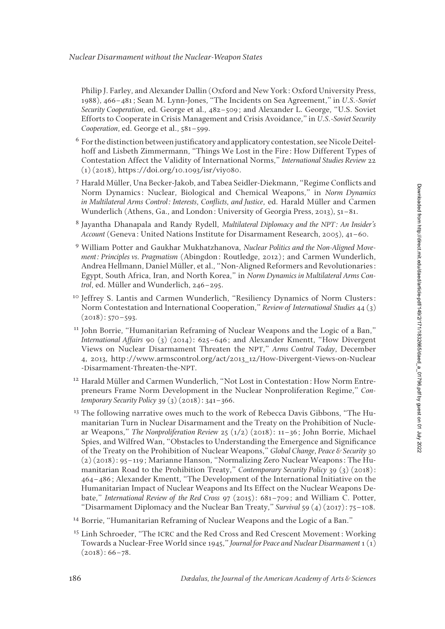Philip J. Farley, and Alexander Dallin (Oxford and New York: Oxford University Press, 1988), 466–481; Sean M. Lynn-Jones, "The Incidents on Sea Agreement," in *U.S.-Soviet Security Cooperation*, ed. George et al., 482–509; and Alexander L. George, "U.S. Soviet Efforts to Cooperate in Crisis Management and Crisis Avoidance," in *U.S.-Soviet Security Cooperation*, ed. George et al., 581–599.

- <sup>6</sup> For the distinction between justificatory and applicatory contestation, see Nicole Deitelhoff and Lisbeth Zimmermann, "Things We Lost in the Fire: How Different Types of Contestation Affect the Validity of International Norms," *International Studies Review* 22 (1) (2018), https://doi.org/10.1093/isr/viy080.
- <sup>7</sup> Harald Müller, Una Becker-Jakob, and Tabea Seidler-Diekmann, "Regime Conflicts and Norm Dynamics: Nuclear, Biological and Chemical Weapons," in *Norm Dynamics in Multilateral Arms Control: Interests, Conflicts, and Justice*, ed. Harald Müller and Carmen Wunderlich (Athens, Ga., and London: University of Georgia Press, 2013), 51–81.
- <sup>8</sup> Jayantha Dhanapala and Randy Rydell, *Multilateral Diplomacy and the NPT: An Insider's Account* (Geneva: United Nations Institute for Disarmament Research, 2005), 41–60.
- <sup>9</sup> William Potter and Gaukhar Mukhatzhanova, *Nuclear Politics and the Non-Aligned Movement: Principles vs. Pragmatism* (Abingdon: Routledge, 2012); and Carmen Wunderlich, Andrea Hellmann, Daniel Müller, et al., "Non-Aligned Reformers and Revolutionaries: Egypt, South Africa, Iran, and North Korea," in *Norm Dynamics in Multilateral Arms Control*, ed. Müller and Wunderlich, 246–295.
- <sup>10</sup> Jeffrey S. Lantis and Carmen Wunderlich, "Resiliency Dynamics of Norm Clusters: Norm Contestation and International Cooperation," *Review of International Studies* 44 (3)  $(2018): 570 - 593.$
- <sup>11</sup> John Borrie, "Humanitarian Reframing of Nuclear Weapons and the Logic of a Ban," *International Affairs* 90 (3) (2014): 625–646; and Alexander Kmentt, "How Divergent Views on Nuclear Disarmament Threaten the NPT," *Arms Control Today*, December 4, 2013, http://www.armscontrol.org/act/2013\_12/How-Divergent-Views-on-Nuclear -Disarmament-Threaten-the-NPT.
- <sup>12</sup> Harald Müller and Carmen Wunderlich, "Not Lost in Contestation: How Norm Entrepreneurs Frame Norm Development in the Nuclear Nonproliferation Regime," *Contemporary Security Policy* 39 (3) (2018): 341–366.
- <sup>13</sup> The following narrative owes much to the work of Rebecca Davis Gibbons, "The Humanitarian Turn in Nuclear Disarmament and the Treaty on the Prohibition of Nuclear Weapons," *The Nonproliferation Review* 25 (1/2) (2018): 11–36; John Borrie, Michael Spies, and Wilfred Wan, "Obstacles to Understanding the Emergence and Significance of the Treaty on the Prohibition of Nuclear Weapons," *Global Change, Peace & Security* 30 (2) (2018): 95–119; Marianne Hanson, "Normalizing Zero Nuclear Weapons: The Humanitarian Road to the Prohibition Treaty," *Contemporary Security Policy* 39 (3) (2018): 464–486; Alexander Kmentt, "The Development of the International Initiative on the Humanitarian Impact of Nuclear Weapons and Its Effect on the Nuclear Weapons Debate," *International Review of the Red Cross* 97 (2015): 681–709; and William C. Potter, "Disarmament Diplomacy and the Nuclear Ban Treaty," *Survival* 59 (4) (2017): 75–108.
- <sup>14</sup> Borrie, "Humanitarian Reframing of Nuclear Weapons and the Logic of a Ban."
- <sup>15</sup> Linh Schroeder, "The ICRC and the Red Cross and Red Crescent Movement: Working Towards a Nuclear-Free World since 1945," *Journal for Peace and Nuclear Disarmament* 1 (1)  $(2018): 66 - 78.$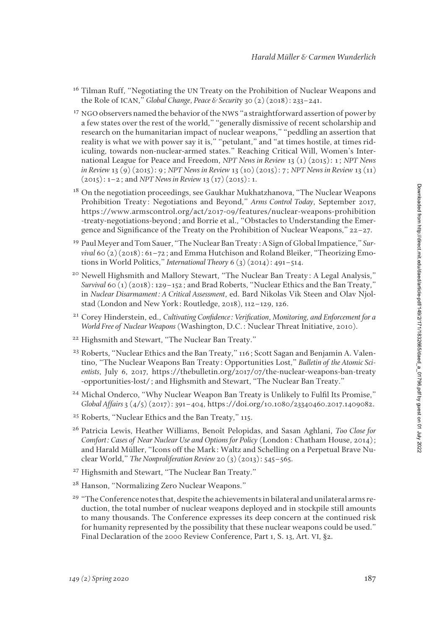- <sup>16</sup> Tilman Ruff, "Negotiating the UN Treaty on the Prohibition of Nuclear Weapons and the Role of ICAN," *Global Change, Peace & Securit*y 30 (2) (2018): 233–241.
- <sup>17</sup> NGO observers named the behavior of the NWS "a straightforward assertion of power by a few states over the rest of the world," "generally dismissive of recent scholarship and research on the humanitarian impact of nuclear weapons," "peddling an assertion that reality is what we with power say it is," "petulant," and "at times hostile, at times ridiculing, towards non-nuclear-armed states." Reaching Critical Will, Women's International League for Peace and Freedom, *NPT News in Review* 13 (1) (2015): 1; *NPT News in Review* 13 (9) (2015): 9; *NPT News in Review* 13 (10) (2015): 7; *NPT News in Review* 13 (11) (2015): 1–2; and *NPT News in Review* 13 (17) (2015): 1.
- <sup>18</sup> On the negotiation proceedings, see Gaukhar Mukhatzhanova, "The Nuclear Weapons" Prohibition Treaty: Negotiations and Beyond," *Arms Control Today*, September 2017, https://www.armscontrol.org/act/2017-09/features/nuclear-weapons-prohibition -treaty-negotiations-beyond; and Borrie et al., "Obstacles to Understanding the Emergence and Significance of the Treaty on the Prohibition of Nuclear Weapons," 22–27.
- <sup>19</sup> Paul Meyer and Tom Sauer, "The Nuclear Ban Treaty: A Sign of Global Impatience," *Survival* 60 (2) (2018): 61–72; and Emma Hutchison and Roland Bleiker, "Theorizing Emotions in World Politics," *International Theory* 6 (3) (2014): 491–514.
- <sup>20</sup> Newell Highsmith and Mallory Stewart, "The Nuclear Ban Treaty: A Legal Analysis," *Survival* 60 (1) (2018): 129–152; and Brad Roberts, "Nuclear Ethics and the Ban Treaty," in *Nuclear Disarmament: A Critical Assessment*, ed. Bard Nikolas Vik Steen and Olav Njolstad (London and New York: Routledge, 2018), 112–129, 126.
- <sup>21</sup> Corey Hinderstein, ed., *Cultivating Confidence: Verification, Monitoring, and Enforcement for a World Free of Nuclear Weapons* (Washington, D.C.: Nuclear Threat Initiative, 2010).
- <sup>22</sup> Highsmith and Stewart, "The Nuclear Ban Treaty."
- <sup>23</sup> Roberts, "Nuclear Ethics and the Ban Treaty," 116; Scott Sagan and Benjamin A. Valentino, "The Nuclear Weapons Ban Treaty: Opportunities Lost," *Bulletin of the Atomic Scientists*, July 6, 2017, https://thebulletin.org/2017/07/the-nuclear-weapons-ban-treaty -opportunities-lost/; and Highsmith and Stewart, "The Nuclear Ban Treaty."
- <sup>24</sup> Michal Onderco, "Why Nuclear Weapon Ban Treaty is Unlikely to Fulfil Its Promise," *Global Affairs* 3 (4/5) (2017): 391–404, https://doi.org/10.1080/23340460.2017.1409082.
- <sup>25</sup> Roberts, "Nuclear Ethics and the Ban Treaty," 115.
- <sup>26</sup> Patricia Lewis, Heather Williams, Benoît Pelopidas, and Sasan Aghlani, *Too Close for Comfort: Cases of Near Nuclear Use and Options for Policy* (London: Chatham House, 2014); and Harald Müller, "Icons off the Mark: Waltz and Schelling on a Perpetual Brave Nuclear World," *The Nonproliferation Review* 20 (3) (2013): 545–565.
- <sup>27</sup> Highsmith and Stewart, "The Nuclear Ban Treaty."
- <sup>28</sup> Hanson, "Normalizing Zero Nuclear Weapons."
- <sup>29</sup> "The Conference notes that, despite the achievements in bilateral and unilateral arms reduction, the total number of nuclear weapons deployed and in stockpile still amounts to many thousands. The Conference expresses its deep concern at the continued risk for humanity represented by the possibility that these nuclear weapons could be used." Final Declaration of the 2000 Review Conference, Part 1, S. 13, Art. VI, §2.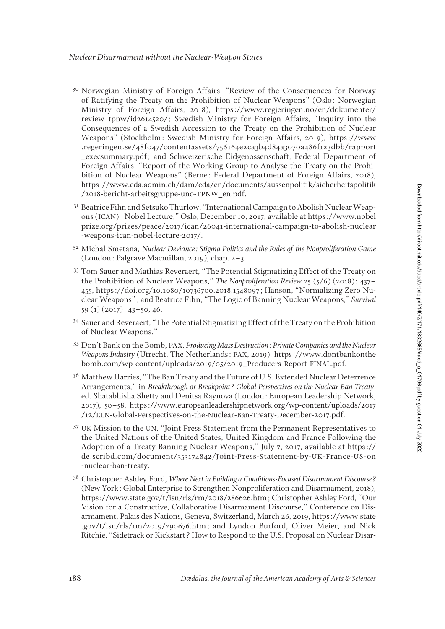Downloaded from http://direct.mit.edu/daed/article-pdf1149/2/171/1832665/daed\_a\_01796.pdf by guest on 01 July 2022 Downloaded from http://direct.mit.edu/daed/article-pdf/149/2/171/1832665/daed\_a\_01796.pdf by guest on 01 July 2022

- <sup>30</sup> Norwegian Ministry of Foreign Affairs, "Review of the Consequences for Norway of Ratifying the Treaty on the Prohibition of Nuclear Weapons" (Oslo: Norwegian Ministry of Foreign Affairs, 2018), https://www.regjeringen.no/en/dokumenter/ review tpnw/id2614520/; Swedish Ministry for Foreign Affairs, "Inquiry into the Consequences of a Swedish Accession to the Treaty on the Prohibition of Nuclear Weapons" (Stockholm: Swedish Ministry for Foreign Affairs, 2019), https://www .regeringen.se/48f047/contentassets/756164e2ca3b4d84a3070a486f123dbb/rapport \_execsummary.pdf; and Schweizerische Eidgenossenschaft, Federal Department of Foreign Affairs, "Report of the Working Group to Analyse the Treaty on the Prohibition of Nuclear Weapons" (Berne: Federal Department of Foreign Affairs, 2018), https://www.eda.admin.ch/dam/eda/en/documents/aussenpolitik/sicherheitspolitik /2018-bericht-arbeitsgruppe-uno-TPNW\_en.pdf.
- <sup>31</sup> Beatrice Fihn and Setsuko Thurlow, "International Campaign to Abolish Nuclear Weapons (ICAN)–Nobel Lecture," Oslo, December 10, 2017, available at https://www.nobel prize.org/prizes/peace/2017/ican/26041-international-campaign-to-abolish-nuclear -weapons-ican-nobel-lecture-2017/.
- <sup>32</sup> Michal Smetana, *Nuclear Deviance: Stigma Politics and the Rules of the Nonproliferation Game*  (London: Palgrave Macmillan, 2019), chap. 2–3.
- <sup>33</sup> Tom Sauer and Mathias Reveraert, "The Potential Stigmatizing Effect of the Treaty on the Prohibition of Nuclear Weapons," *The Nonproliferation Review* 25 (5/6) (2018): 437– 455, https://doi.org/10.1080/10736700.2018.1548097; Hanson, "Normalizing Zero Nuclear Weapons"; and Beatrice Fihn, "The Logic of Banning Nuclear Weapons," *Survival* 59 (1) (2017): 43–50, 46.
- <sup>34</sup> Sauer and Reveraert, "The Potential Stigmatizing Effect of the Treaty on the Prohibition of Nuclear Weapons."
- <sup>35</sup> Don't Bank on the Bomb, PAX, *Producing Mass Destruction: Private Companies and the Nuclear Weapons Industry* (Utrecht, The Netherlands: PAX, 2019), https://www.dontbankonthe bomb.com/wp-content/uploads/2019/05/2019\_Producers-Report-FINAL.pdf.
- <sup>36</sup> Matthew Harries, "The Ban Treaty and the Future of U.S. Extended Nuclear Deterrence Arrangements," in *Breakthrough or Breakpoint? Global Perspectives on the Nuclear Ban Treaty*, ed. Shatabhisha Shetty and Denitsa Raynova (London: European Leadership Network, 2017), 50–58, https://www.europeanleadershipnetwork.org/wp-content/uploads/2017 /12/ELN-Global-Perspectives-on-the-Nuclear-Ban-Treaty-December-2017.pdf.
- <sup>37</sup> UK Mission to the UN, "Joint Press Statement from the Permanent Representatives to the United Nations of the United States, United Kingdom and France Following the Adoption of a Treaty Banning Nuclear Weapons," July 7, 2017, available at https:// de.scribd.com/document/353174842/Joint-Press-Statement-by-UK-France-US-on -nuclear-ban-treaty.
- <sup>38</sup> Christopher Ashley Ford, *Where Next in Building a Conditions-Focused Disarmament Discourse?* (New York: Global Enterprise to Strengthen Nonproliferation and Disarmament, 2018), https://www.state.gov/t/isn/rls/rm/2018/286626.htm; Christopher Ashley Ford, "Our Vision for a Constructive, Collaborative Disarmament Discourse," Conference on Disarmament, Palais des Nations, Geneva, Switzerland, March 26, 2019, https://www.state .gov/t/isn/rls/rm/2019/290676.htm; and Lyndon Burford, Oliver Meier, and Nick Ritchie, "Sidetrack or Kickstart? How to Respond to the U.S. Proposal on Nuclear Disar-